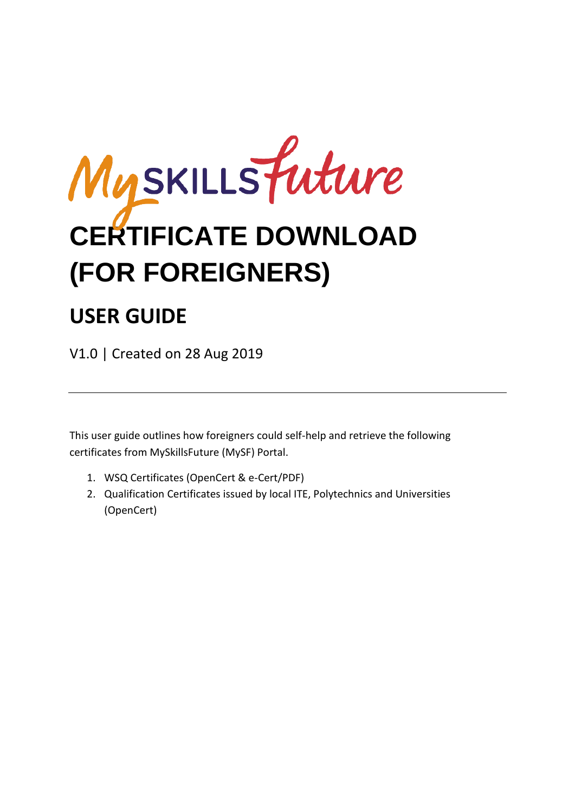

## **USER GUIDE**

V1.0 | Created on 28 Aug 2019

This user guide outlines how foreigners could self-help and retrieve the following certificates from MySkillsFuture (MySF) Portal.

- 1. WSQ Certificates (OpenCert & e-Cert/PDF)
- 2. Qualification Certificates issued by local ITE, Polytechnics and Universities (OpenCert)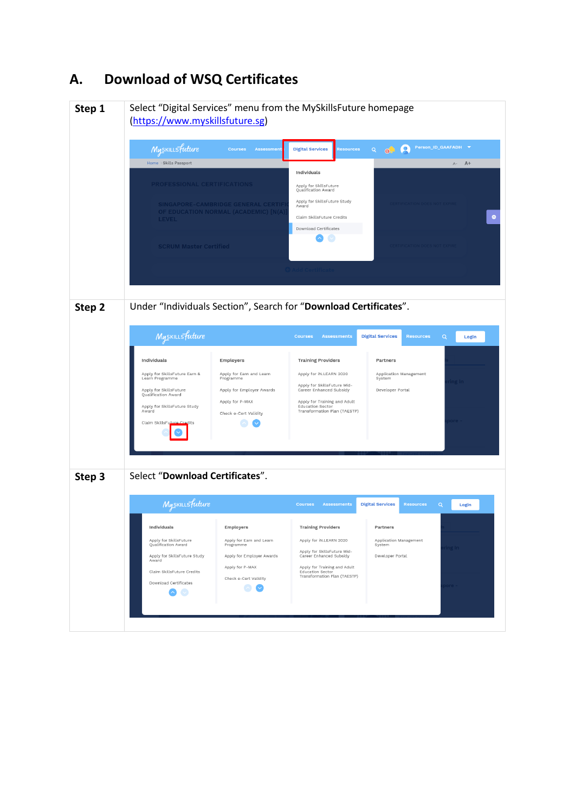## **A. Download of WSQ Certificates**

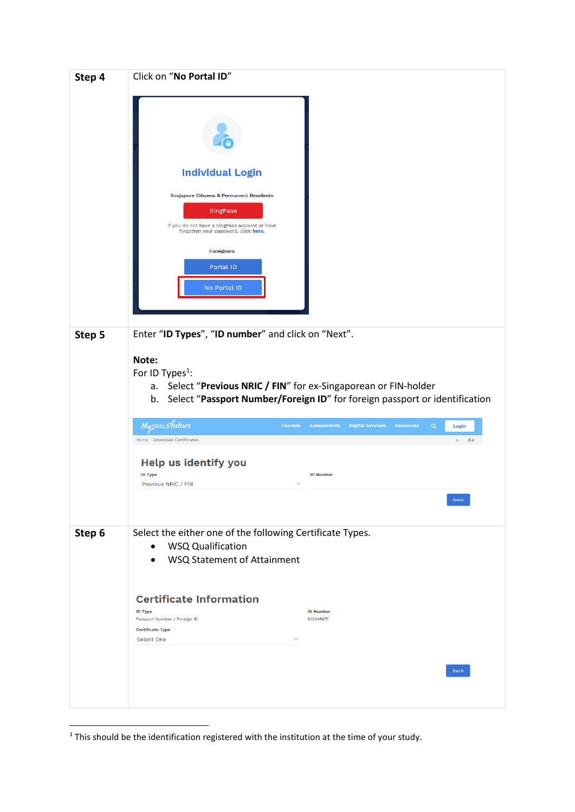| Step 4 | Click on "No Portal ID"                                                                                                                                                                                             |                                                                                              |  |
|--------|---------------------------------------------------------------------------------------------------------------------------------------------------------------------------------------------------------------------|----------------------------------------------------------------------------------------------|--|
|        | <b>Individual Login</b><br>Singapore Citizens & Permanent Residents<br>SingPass<br>If you do not have a SingPass account or have<br>forgotten your password, click here.<br>Foreigners<br>Portal ID<br>No Portal ID |                                                                                              |  |
| Step 5 | Enter "ID Types", "ID number" and click on "Next".                                                                                                                                                                  |                                                                                              |  |
|        | Note:<br>For ID Types <sup>1</sup> :<br>Select "Previous NRIC / FIN" for ex-Singaporean or FIN-holder<br>a.<br>b.                                                                                                   | Select "Passport Number/Foreign ID" for foreign passport or identification                   |  |
|        | Myskillsfuture<br><b>Courses</b><br>Home > Download Certificates                                                                                                                                                    | <b>Assessments</b><br><b>Digital Services</b><br><b>Resources</b><br>Q<br>Login<br>$A - A +$ |  |
|        | Help us identify you<br><b>ID Type</b><br>Previous NRIC / FIN                                                                                                                                                       | <b>ID Number</b>                                                                             |  |
|        |                                                                                                                                                                                                                     | <b>Next</b>                                                                                  |  |
| Step 6 | Select the either one of the following Certificate Types.<br><b>WSQ Qualification</b><br>$\bullet$<br>WSQ Statement of Attainment                                                                                   |                                                                                              |  |
|        | <b>Certificate Information</b><br><b>ID Type</b><br>Passport Number / Foreign ID<br><b>Certificate Type</b>                                                                                                         | <b>ID Number</b><br>S1234567f                                                                |  |
|        | Select One                                                                                                                                                                                                          | <b>Back</b>                                                                                  |  |
|        |                                                                                                                                                                                                                     |                                                                                              |  |

**.** 

 $<sup>1</sup>$  This should be the identification registered with the institution at the time of your study.</sup>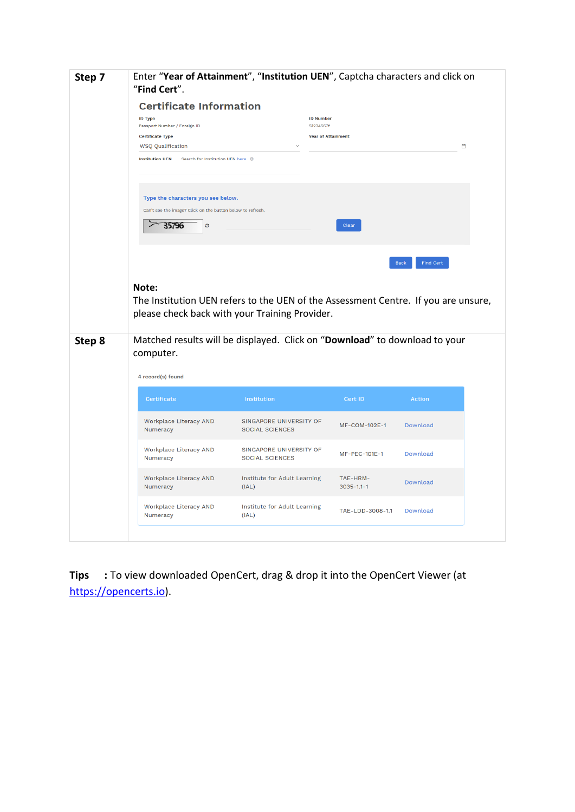| Step 7 | Enter "Year of Attainment", "Institution UEN", Captcha characters and click on<br>"Find Cert". |                                                   |                           |                          |   |
|--------|------------------------------------------------------------------------------------------------|---------------------------------------------------|---------------------------|--------------------------|---|
|        | <b>Certificate Information</b>                                                                 |                                                   |                           |                          |   |
|        | <b>ID Type</b>                                                                                 | <b>ID Number</b>                                  |                           |                          |   |
|        | Passport Number / Foreign ID                                                                   | S1234567f                                         |                           |                          |   |
|        | <b>Certificate Type</b><br><b>WSQ Qualification</b>                                            |                                                   | <b>Year of Attainment</b> |                          | ఆ |
|        | <b>Institution UEN</b><br>Search for Institution UEN here 0                                    |                                                   |                           |                          |   |
|        |                                                                                                |                                                   |                           |                          |   |
|        | Type the characters you see below.                                                             |                                                   |                           |                          |   |
|        | Can't see the image? Click on the button below to refresh.                                     |                                                   |                           |                          |   |
|        | 35796<br>ø                                                                                     |                                                   | Clear                     |                          |   |
|        |                                                                                                |                                                   |                           |                          |   |
|        |                                                                                                |                                                   |                           |                          |   |
|        |                                                                                                |                                                   |                           | Find Cert<br><b>Back</b> |   |
|        |                                                                                                |                                                   |                           |                          |   |
|        | Note:                                                                                          |                                                   |                           |                          |   |
|        | The Institution UEN refers to the UEN of the Assessment Centre. If you are unsure,             |                                                   |                           |                          |   |
|        | please check back with your Training Provider.                                                 |                                                   |                           |                          |   |
|        |                                                                                                |                                                   |                           |                          |   |
| Step 8 | Matched results will be displayed. Click on "Download" to download to your                     |                                                   |                           |                          |   |
|        | computer.                                                                                      |                                                   |                           |                          |   |
|        | 4 record(s) found                                                                              |                                                   |                           |                          |   |
|        | Certificate                                                                                    | Institution                                       | Cert ID                   | <b>Action</b>            |   |
|        |                                                                                                |                                                   |                           |                          |   |
|        | Workplace Literacy AND<br>Numeracy                                                             | SINGAPORE UNIVERSITY OF<br><b>SOCIAL SCIENCES</b> | MF-COM-102E-1             | Download                 |   |
|        |                                                                                                |                                                   |                           |                          |   |
|        | Workplace Literacy AND<br>Numeracy                                                             | SINGAPORE UNIVERSITY OF<br><b>SOCIAL SCIENCES</b> | MF-PEC-101E-1             | Download                 |   |
|        |                                                                                                |                                                   |                           |                          |   |
|        | Workplace Literacy AND                                                                         | Institute for Adult Learning                      | TAE-HRM-                  | Download                 |   |
|        | Numeracy                                                                                       | (IAL)                                             | $3035 - 1.1 - 1$          |                          |   |
|        | Workplace Literacy AND<br>Numeracy                                                             | Institute for Adult Learning<br>(IAL)             | TAE-LDD-3008-1.1          | Download                 |   |
|        |                                                                                                |                                                   |                           |                          |   |

**Tips :** To view downloaded OpenCert, drag & drop it into the OpenCert Viewer (at [https://opencerts.io\)](https://opencerts.io/).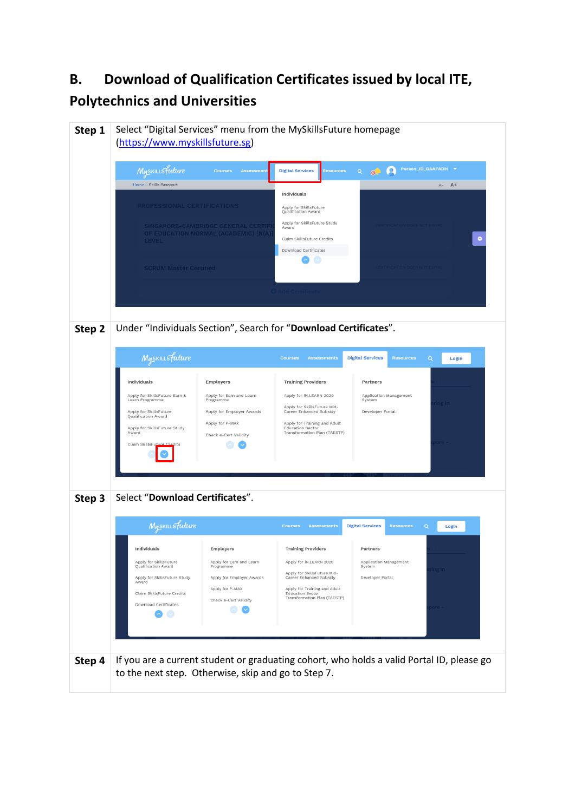## **B. Download of Qualification Certificates issued by local ITE, Polytechnics and Universities**

| Step 1 | Select "Digital Services" menu from the MySkillsFuture homepage<br>(https://www.myskillsfuture.sg)<br>Myskillsfuture<br>Home > Skills Passport<br><b>PROFESSIONAL CERTIFICATIONS</b><br><b>LEVEL</b><br><b>SCRUM Master Certified</b>                                         | <b>Courses</b><br><b>Assessment</b><br>SINGAPORE-CAMBRIDGE GENERAL CERTIF<br>OF EDUCATION NORMAL (ACADEMIC) [N(A)                 | <b>Digital Services</b><br><b>Resources</b><br>Individuals<br>Apply for SkillsFuture<br>Qualification Award<br>Apply for SkillsFuture Study<br>Award<br>Claim SkillsFuture Credits<br>Download Certificates                                       | Q<br>Q<br>$\Theta$ <sup>-</sup>                                                             | Person_ID_GAAFADH V<br><b>RTIFICATION DOES NOT EX</b> | $A+$<br>$A-$<br>$\bullet$ |
|--------|-------------------------------------------------------------------------------------------------------------------------------------------------------------------------------------------------------------------------------------------------------------------------------|-----------------------------------------------------------------------------------------------------------------------------------|---------------------------------------------------------------------------------------------------------------------------------------------------------------------------------------------------------------------------------------------------|---------------------------------------------------------------------------------------------|-------------------------------------------------------|---------------------------|
| Step 2 | Under "Individuals Section", Search for "Download Certificates".<br>Myskillsfuture<br>Individuals<br>Apply for SkillsFuture Earn &<br>Learn Programme<br>Apply for SkillsFuture<br>Qualification Award<br>Apply for SkillsFuture Study<br>Award<br>Claim SkillsFut<br>Credits | Employers<br>Apply for Earn and Learn<br>Programme<br>Apply for Employer Awards<br>Apply for P-MAX<br>Check e-Cert Validity       | <b>Assessments</b><br><b>Courses</b><br><b>Training Providers</b><br>Apply for IN.LEARN 2020<br>Apply for SkillsFuture Mid-<br>Career Enhanced Subsidy<br>Apply for Training and Adult<br><b>Education Sector</b><br>Transformation Plan (TAESTP) | <b>Digital Services</b><br>Partners<br>Application Management<br>System<br>Developer Portal | $\alpha$<br><b>Resources</b>                          | Login<br>ing In<br>ore    |
| Step 3 | Select "Download Certificates".<br>Myskillsfuture<br>Individuals<br>Apply for SkillsFuture<br>Qualification Award<br>Apply for SkillsFuture Study<br>Award<br>Claim SkillsFuture Credits<br>Download Certificates                                                             | Employers<br>Apply for Earn and Learn<br>Programme<br>Apply for Employer Awards<br>Apply for P-MAX<br>Check e-Cert Validity<br>N, | <b>Courses</b><br><b>Assessments</b><br><b>Training Providers</b><br>Apply for IN.LEARN 2020<br>Apply for SkillsFuture Mid-<br>Career Enhanced Subsidy<br>Apply for Training and Adult<br><b>Education Sector</b><br>Transformation Plan (TAESTP) | <b>Digital Services</b><br>Partners<br>Application Management<br>System<br>Developer Portal | <b>Resources</b><br>Q                                 | Login<br>ing In           |
| Step 4 | If you are a current student or graduating cohort, who holds a valid Portal ID, please go<br>to the next step. Otherwise, skip and go to Step 7.                                                                                                                              |                                                                                                                                   |                                                                                                                                                                                                                                                   |                                                                                             |                                                       |                           |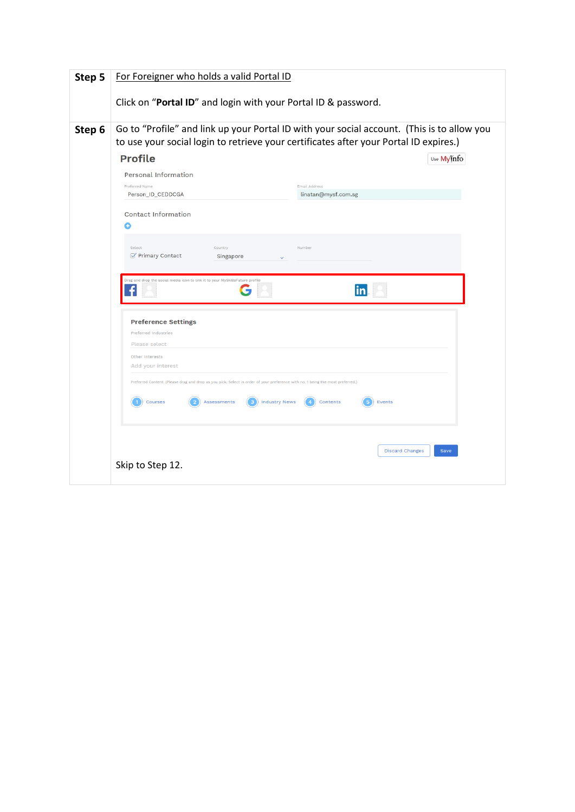| Step 5 | For Foreigner who holds a valid Portal ID<br>Click on "Portal ID" and login with your Portal ID & password.                                                                                                                                                                                                                                                                                                                                                                                                                                                                                                                                                                                                                                                                                                                                                        |
|--------|--------------------------------------------------------------------------------------------------------------------------------------------------------------------------------------------------------------------------------------------------------------------------------------------------------------------------------------------------------------------------------------------------------------------------------------------------------------------------------------------------------------------------------------------------------------------------------------------------------------------------------------------------------------------------------------------------------------------------------------------------------------------------------------------------------------------------------------------------------------------|
| Step 6 | Go to "Profile" and link up your Portal ID with your social account. (This is to allow you<br>to use your social login to retrieve your certificates after your Portal ID expires.)<br><b>Profile</b><br>Use Myinfo<br>Personal Information<br>Email Address<br>Preferred Name<br>Person_ID_CEDDCGA<br>linatan@mysf.com.sg<br>Contact Information<br>Select<br>Number<br>Country<br>Primary Contact<br>Singapore<br>Drag and drop the social media icon to link it to your MySkillsFuture profile<br>in<br><b>Preference Settings</b><br>Preferred Industries<br>Please select<br>Other Interests<br>Add your interest<br>Preferred Content. (Please drag and drop as you pick. Select in order of your preference with no. 1 being the most preferred.)<br>Courses<br>Assessments<br><b>Industry News</b><br>Contents<br>Events<br><b>Discard Changes</b><br>Save |
|        | Skip to Step 12.                                                                                                                                                                                                                                                                                                                                                                                                                                                                                                                                                                                                                                                                                                                                                                                                                                                   |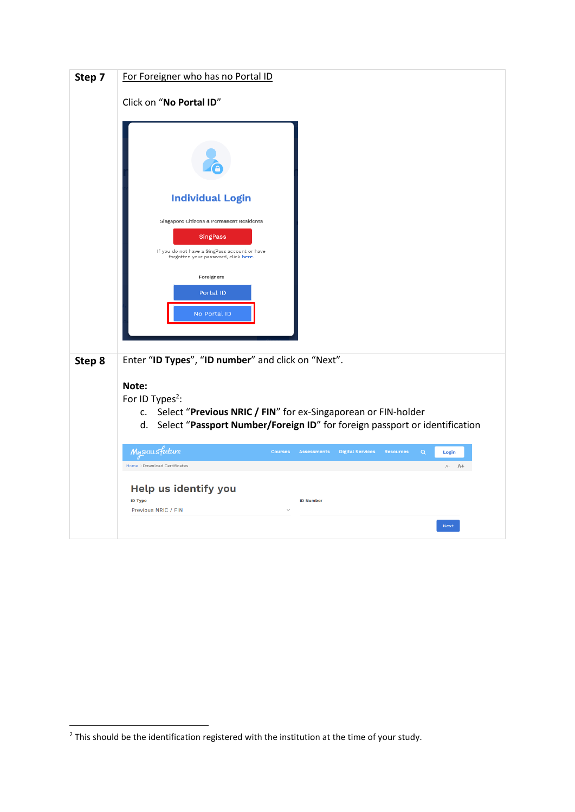| Click on "No Portal ID"<br><b>Individual Login</b><br>Singapore Citizens & Permanent Residents<br>SingPass<br>If you do not have a SingPass account or have<br>forgotten your password, click here.<br>Foreigners |  |
|-------------------------------------------------------------------------------------------------------------------------------------------------------------------------------------------------------------------|--|
|                                                                                                                                                                                                                   |  |
|                                                                                                                                                                                                                   |  |
|                                                                                                                                                                                                                   |  |
|                                                                                                                                                                                                                   |  |
|                                                                                                                                                                                                                   |  |
|                                                                                                                                                                                                                   |  |
| Portal ID                                                                                                                                                                                                         |  |
| No Portal ID                                                                                                                                                                                                      |  |
|                                                                                                                                                                                                                   |  |
| Enter "ID Types", "ID number" and click on "Next".<br>Step 8                                                                                                                                                      |  |
| Note:<br>For ID Types <sup>2</sup> :                                                                                                                                                                              |  |
| Select "Previous NRIC / FIN" for ex-Singaporean or FIN-holder<br>C.                                                                                                                                               |  |
| d. Select "Passport Number/Foreign ID" for foreign passport or identification                                                                                                                                     |  |
| Myskillsfuture<br><b>Digital Services</b><br><b>Courses</b><br><b>Assessments</b><br><b>Resources</b><br>Q<br>Login                                                                                               |  |
| Home > Download Certificates<br>A- A+                                                                                                                                                                             |  |
| Help us identify you<br><b>ID Type</b><br><b>ID Number</b>                                                                                                                                                        |  |
| Previous NRIC / FIN<br>Next                                                                                                                                                                                       |  |

**.** 

 $2$  This should be the identification registered with the institution at the time of your study.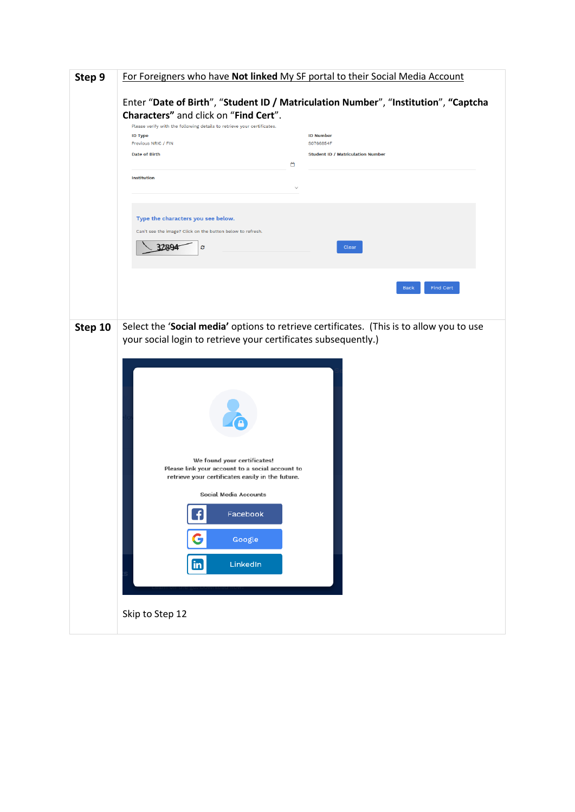| Step 9  | For Foreigners who have Not linked My SF portal to their Social Media Account                                                                                                                                                                                                                                                                                                                                                                                                                               |
|---------|-------------------------------------------------------------------------------------------------------------------------------------------------------------------------------------------------------------------------------------------------------------------------------------------------------------------------------------------------------------------------------------------------------------------------------------------------------------------------------------------------------------|
|         | Enter "Date of Birth", "Student ID / Matriculation Number", "Institution", "Captcha<br>Characters" and click on "Find Cert".<br>Please verify with the following details to retrieve your certificates.<br><b>ID Type</b><br><b>ID Number</b><br>Previous NRIC / FIN<br>S0766854F<br><b>Date of Birth</b><br><b>Student ID / Matriculation Number</b><br>₩<br><b>Institution</b><br>Type the characters you see below.<br>Can't see the image? Click on the button below to refresh.<br>37896<br>ø<br>Clear |
|         | <b>Find Cert</b><br><b>Back</b>                                                                                                                                                                                                                                                                                                                                                                                                                                                                             |
| Step 10 | Select the 'Social media' options to retrieve certificates. (This is to allow you to use<br>your social login to retrieve your certificates subsequently.)<br>We found your certificates!<br>Please link your account to a social account to<br>retrieve your certificates easily in the future.<br><b>Social Media Accounts</b><br>f)<br>Facebook<br>G<br>Google<br>$\mathbf{in}$<br>LinkedIn<br>Skip to Step 12                                                                                           |